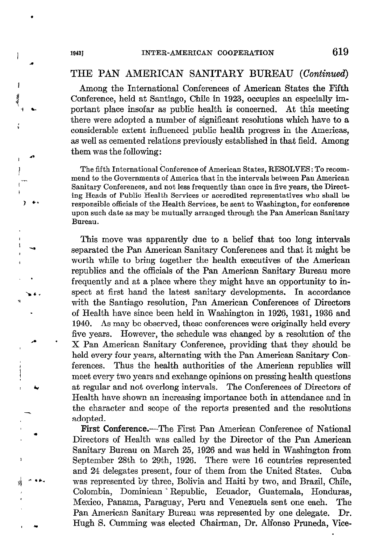## THE PAN AMERICAN SANITARY BUREAU (Continued)

Among the International Conferences of American States the Fifth Conference, held at Santiago, Chile in 1923, occupies an especially important place insofar as public health is concerned. At this meeting there were adopted a number of significant resolutions which have to a considerable extent influenced public health progress in the Americas, as well as cemented relations previously established in that field. Among them was the following:

The fifth International Conference of American States, RESOLVES: To recommend to the Governments of America that in the intervals between Pan American Sanitary Conferences, and not less frequently than once in five years, the Directing Heads of Public Health Services or accredited representatives who shall be responsible officials of the Health Services, be sent to Washington, for conference upon such date as may be mutually arranged through the Pan American Sanitary Bureau .

This move was apparently due to a belief that too long intervals separated the Pan American Sanitary Conferences and that it might be worth while to bring together the health executives of the American republics and the officials of the Pan American Sanitary Bureau more frequently and at a place where they might have an opportunity to inspect at first hand the latest sanitary developments. In accordance with the Santiago resolution, Pan American Conferences of Directors of Health have since been held in Washington in 1926, 1931, 1936 and 1940. As may be observed, these conferences were originally held every five years. However, the schedule was changed by a resolution of the X Pan American Sanitary Conference, providing that they should be held every four years, alternating with the Pan American Sanitary Conferences. Thus the health authorities of the American republics will meet every two years and exchange opinions on pressing health questions at regular and not overlong intervals. The Conferences of Directors of Health have shown an increasing importance both in attendance and in the character and scope of the reports presented and the resolutions adopted.

First Conference.—The First Pan American Conference of National Directors of Health was called by the Director of the Pan American Sanitary Bureau on March 25, 1926 and was held in Washington from September 28th to 29th, 1926. There were 16 countries represented and 24 delegates present, four of them from the United States. Cuba was represented by three, Bolivia and Haiti by two, and Brasil, Chile, Colombia, Dominican 'Republic, Ecuador, Guatemala, Honduras, Mexico, Panama, Paraguay, Peru and Venesuela sent one each. The Pan American Sanitary Bureau was represented by one delegate. Dr. Hugh S. Cumming was elected Chairman, Dr. Alfonso Pruneda, Vice-

8 '\$ 1 b.

t

ì

I

; "

I b

\*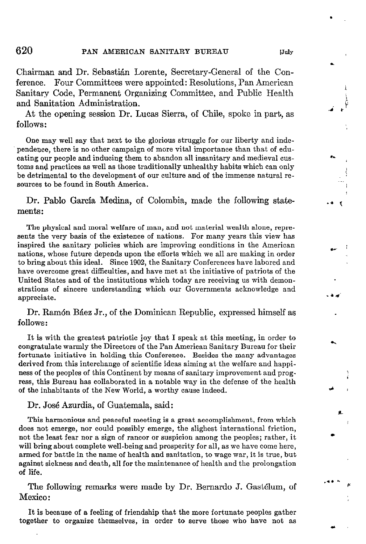Chairman and Dr. Sebastián Lorente, Secretary-General of the Conference. Four Committees were appointed: Resolutions, Pan American Sanitary Code, Permanent Organizing Committee, and Public Health and Sanitation Administration.

At the opening session Dr. Lucas Sierra, of Chile, spoke in part, as follows:

One may well say that next to the glorious struggle for our liberty and independence, there is no other campaign of more vital importance than that of educating our people and inducing them to abandon all insanitary and medieval customs and practices as well as those traditionally unhealthy habits which can only be detrimental to the development of our culture and of the immense natural resources to be found in South America.

Dr. Pablo García Medina, of Colombia, made the following statements:

The physical and moral welfare of man, and not material wealth alone, represents the very basis of the existence of nations. For many years this view has inspired the sanitary policies which are improving conditions in the American nations, whose future depends upon the efforts which we al1 are making in order to bring about this ideal. Since 1902, the Sanitary Conferences have labored and have overcome great difficulties, and have met at the initiative of patriota of the United States and of the institutions which today are receiving us with demonstrations of sincere understanding which our Governments acknowledge and appreciate.

Dr. Ramón Báez Jr., of the Dominican Republic, expressed himself as follows :

It is with the greatest patriotic joy that 1 speak at this meeting, in order to congratulate warmly the Directors of the Pan Ameritan Sanitary Bureau for their fortunate initiative in holding this Conference. Besides the many advantages derived from this interchange of scientific ideas aiming at the welfare and happiness of the peoples of this Continent by means of sanitary improvement and progress, this Bureau has collaborated in a notable way in the defense of the health of the inhabitants of the New World, a worthy cause indeed.

Dr. José Azurdia, of Guatemala, said:

This harmonious and peaceful meeting is a great accomplishment, from which does not emerge, nor could possibly emerge, the slighest international friction, not the least fear nor a sign of rancor or auspicion among the peoples; rather, it will bring about complete well-being and prosperity for all, as we have come here, armed for battle in the name of health and sanitation, to wage war, it is true, but against sickness and death, all for the maintenance of health and the prolongation of life.

The following remarks were made by Dr. Bernardo J. Gastélum, of Mexico :

It is because of a feeling of friendship that the more fortunate peoples gather together to organize themselves, in order to serve those who have not as .

h

. .

d

.

I I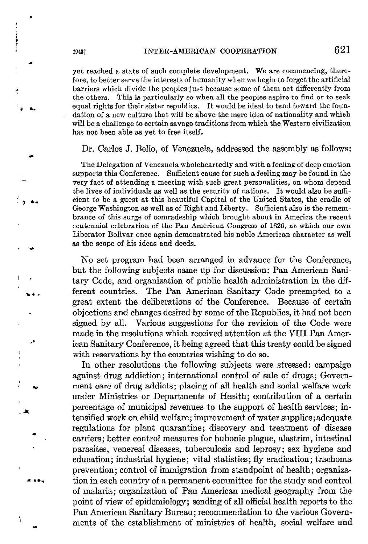yet reached a state of such complete development. We are commencing, therefore, to better serve the interests of humanity when we begin to forget the artificial  $\mathbf{F}_{\mathbf{y}}$  barriers which divide the peoples just because some of them act differently from the others. This is particularly so when al1 the peoples aspire to find or to seek equal rights for their sister republics. It would be ideal to tend toward the foundation of a new culture that will be above the mere idea of nationality and which will be a challenge to certain savage traditions from which the Western civilization has not been able as yet to free itself.

Dr. Carlos J. Bello, of Venezuela, addressed the assembly as follows:

The Delegation of Venezuela wholeheartedly and with a feeling of deep emotion supports this Conference. Sufficient cause for such a feeling may be found in the very fact of attending a meeting with such great personalities, on whom depend the lives of individuals as well as the security of nations. It would also be sufficient to be a guest at this beautiful Capital of the United States, the cradle of George Washington as me11 as of Right and Liberty. Suflicient also is the remembrance of this surge of comradeship which brought about in America the recent centennial celebration of the Pan American Congress of 1826, at which our own Liberator Bolívar once again demonstrated his noble American character as well as the scope of his ideas and deeds.

No set program had been arranged in advance for the Conference, but the following subjects came up for discussion: Pan American Sanitary Code, and organization of public health administration in the different countries. The Pan American Sanitary Code preempted to a great extent the deliberations of the Conference. Because of certain objections and changes desired by some of the Republics, it had not been signed by all. Various suggestions for the revision of the Code were made in the resolutions which received attention at the VIII Pan American Sanitary Conference, it being agreed that this treaty could be signed with reservations by the countries wishing to do so.

In other resolutions the following subjects were stressed: campaign against drug addiction; international control of sale of drugs; Govern ment care of drug addicts; placing of all health and social welfare work under Ministries or Departments of Health; contribution of a certain percentage of municipal revenues to the support of health services; intensified work on child welfare; improvement of water supplies; adequate regulations for plant quarantine; discovery and treatment of disease carriers; better control measures for bubonic plague, alastrim, intestinal parasites, venereal diseases, tuberculosis and leprosy; sex hygiene and education; industrial hygiene; vital statistics; fly eradication; trachoma prevention; control of immigration from standpoint of health; organiza tion in each country of a permanent committee for the study and control of malaria; organization of Pan American medical geography from the point of view of epidemiology; sending of al1 official health reports to the Pan American Sanitary Bureau; recommendation to the various Governments of the establishment of ministries of health, social welfare and

i ĺ. (:

a

ae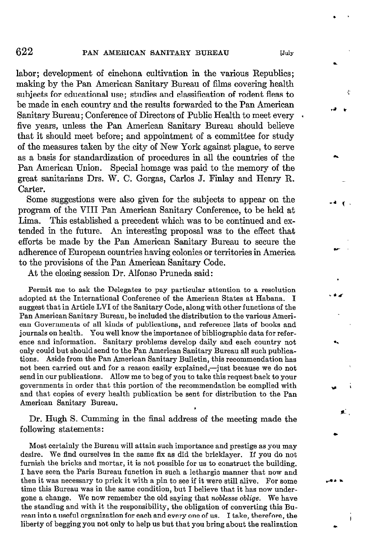labor; development of cinchona cultivation in the various Republics; making by the Pan American Sanitary Bureau of films covering health subjects for educational use; studies and classification of rodent fleas to be made in each country and the results forwarded to the Pan American Sanitary Bureau; Conference of Directors of Public Health to meet every . five years, unless the Pan American Sanitary Bureau should believe that it should meet before; and appointment of a committee for study of the measures taken by the City of New York against plague, to serve as a basis for standardization of procedures in al1 the countries of the Pan American Union. Special homage was paid to the memory of the great sanitarians Drs. W. C. Gorgas, Carlos J. Finlay and Henry R. Carter.

Some suggestions were also given for the subjects to appear on the program of the VIII Pan American Sanitary Conference, to be held at Lima. This established a precedent which was to be continued and extended in the future. An interesting proposal was to the effect that efforts be made by the Pan American Sanitary Bureau to secure the adherence of European countries having colonies or territories in America to the provisions of the Pan American Sanitary Code.

At the closing session Dr. Alfonso Pruneda said:

Permit me to ask the Delegates to pay particular attention to a resolution adopted at the International Conference of the American States at Habana. I suggest that in Article LVI of the Sanitary Code, along with other functions of the Pan American Sanitary Bureau, be included the distribution to the various American Governments of al1 kinds of publications, and referente lists of books and journals on health. You well know the importance of bibliographic data for reference and information. Sanitary problems develop daily and each country not only could but should send to the Pan Ameritan Sanitary Bureau al1 such publications. Aside from the Pan American Sanitary Bulletin, this recommendation has not been carried out and for a reason easily explained,—just because we do not send in our publications. Allow me to beg of you to take this request back to your governments in order that this portion of the recommendation be complied with and that copies of every health publication be sent for distribution to the Pan American Sanitary Bureau.

Dr. Hugh S. Cumming in the final address of the meeting made the following statements :

Most certainly the Bureau will attain such importance and prestige as you may desire. We find ourselves in the same Ex as did the bricklayer. If you do not furnish the bricks and mortar, it is not possible for us to construct the building. 1 have seen the Paris Bureau function in such a lethargic manner that now and then it was necessary to prick it with a pin to see if it were still alive. For some time this Bureau was in the same condition, but 1 believe that it has now undergone a change. We now remember the old saying that noblesse oblige. We have the standing and with it the responsibility, the obligation of converting this Bureau into a useful organization for each and every one of us. 1 take, therefore, the liberty of begging you not only to help us but that you bring about the realization c

Ċ

£.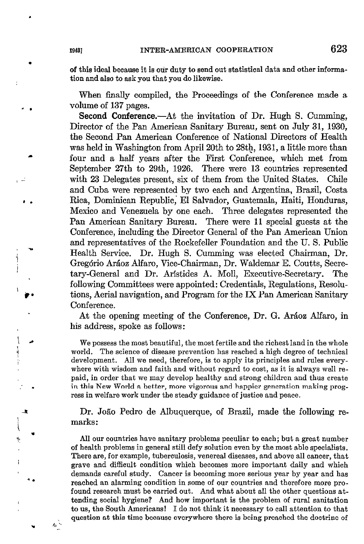of this ideal because it is oùr duty to send out statistical data and other information and also to ask you that you do likewise.

When finally compiled, the Proceedings of the Conference made a volume of 137 pages.

Second Conference.—At the invitation of Dr. Hugh S. Cumming, Director of the Pan American Sanitary Bureau, sent on July 31, 1930, the Second Pan American Conference of National Directors of Health was held in Washington from April2Oth to 28th, 1931, a little more than four and a half years after the First Conference, which met from September 27th to 29th, 1926. There were 13 countries represented with 23 Delegates present, six of them from the United States. Chile and Cuba were represented by two each and Argentina, Brazil, Costa Rica, Dominican Republic,' El Salvador, Guatemala, Haiti, Honduras, Mexico and Venezuela by one each. Three delegates represented the Pan American Sanitary Bureau. There were ll special guests at the Conference, including the Director General of the Pan American Union and representatives of the Rockefeller Foundation and the U. S. Public Health Service. Dr. Hugh S. Cumming was elected Chairman, Dr. Gregorio Aráoz Alfaro, Vice-Chairman, Dr. Waldemar E. Coutts, Secretary-General and Dr. Aristides A. Moll, Executive-Secretary. The following Committees were appointed: Credentials, Regulations, Resolutions, Aerial navigation, and Program for the IX Pan American Sanitary Conference.

At the opening meeting of the Conference, Dr. G. Aráoz Alfaro, in his address, spoke as follows:

We possess the most beautiful, the most fertile and the richest land in the whole world. The science of disease prevention has reached a high degree of technical development. All we need, therefore, is to apply its principies and rules everywhere with wisdom and faith and without regard to cost, as it is always well repaid, in order that we may develop healthy and strong children and thus create in this New World a better, more vigorous and happier generation making progress in welfare work under the steady guidance of justice and peace.

Dr. João Pedro de Albuquerque, of Brazil, made the following remarks:

All our countries have sanitary problems peculiar to each; but a great number of health problems in general still defy solution even by the most able specialists. There are, for example, tuberculosis, venereal diseases, and above al1 cancer, that grave and difficult condition which becomes more important daily and which demands careful study. Cancer is becoming more serious year by year and has resched an alarming condition in some of our countries and therefore more profound research must be carried out. And what about all the other questions attending social hygiene? And how important is the problem of rural sanitation to us, the South Americans! 1 do not think it necessary to cal1 attention to that question at this time because everywhere there is being preached the doctrine of

.

 $\cdot$   $\cdot$ 

 $\vert \bullet \vert$ j

 $\ddot{\phantom{a}}$  .

I

\*.

\* & '^ -.

I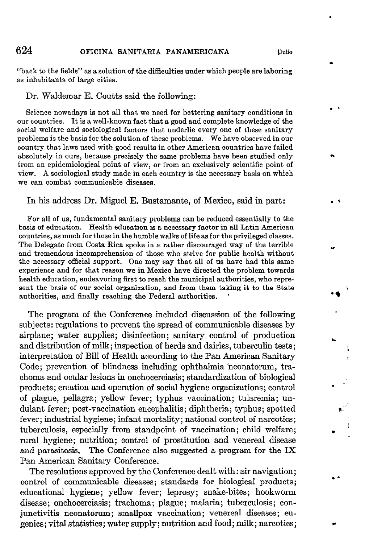## 624 OFICINA SANITARIA PANAMERICANA [Julio]

.

\* -

\*

. s

l \*

4

.\*

"back to the fields" as a solution of the difficulties under which people are laboring as inhabitants of large cities.

Dr. Waldemar E. Coutts said the following:

Science nowadays is not al1 that we need for bettering sanitary conditions in our countries. It is a well-known fact that a good and complete knowledge of the social welfare and sociological factors that underlie every one of these sanitary problems is the basis for the solution of these problems. We have observed in our country that laws used with good results in other Ameritan countries have failed absolutely in ours, because precisely the same problems have been studied only from an epidemiological point of view, or from an exclusively scientific point of tiew. A sociological study made in each country is the necessary basis on which we can combat communicable diseases.

## In his address Dr. Miguel E. Bustamante, of Mexico, said in part:

For all of us, fundamental sanitary problems can be reduced essentially to the basis of education. Health education is a necessary factor in al1 Latin American countries, as much for those in the humble walks of life as for the privileged classes. The Delegate from Costa Rica spoke in a rather discouraged way of the terrible and tremendous incomprehension of those who strive for public health without the necessary official support. One may say that al1 of us have had this same experience and for that reason we in Mexico have directed the problem towards health education, endeavoring first to reach the municipal authorities, mho represent the basis of our social organieation, and from them taking it to the State authorities, and finally reaching the Federal authorities.

The program of the Conference included discussion of the following subjects: regulations to prevent the spread of communicable diseases by airplane; water supplies; disinfection; sanitary control of production and distribution of milk; inspection of herds and dairies, tuberculin tests; interpretation of Bill of Health according to the Pan American Sanitary Code; prevention of blindness including ophthalmia neonatorum, trachoma and ocular lesions in onchocerciasis; standardixation of biological products; creation and operation of social hygiene organizations; control of plague, pellagra; yellow fever; typhus vaccination; tularemia; undulant fever; post-vaccination encephalitis; diphtheria; typhus; spotted fever; industrial hygiene; infant mortality; national control of narcotics; tuberculosis, especially from standpoint of vaccination; child welfare; rural hygiene; nutrition; control of prostitution and venereal disease and parasitosis, The Conference also suggested a program for the IX Pan American Sanitary Conference.

The resolutions approved by the Conference dealt with: air navigation; control of communicable diseases; standards for biological products; educational hygiene; yellow fever; leprosy; snake-bites; hookworm disease; onchocerciasis; trachoma; plague; malaria; tuberculosis; conjunctivitis neonatorum; smallpox vaccination; venereal diseases; eugenics; vital statistics; water supply; nutrition and food; milk; narcotics;